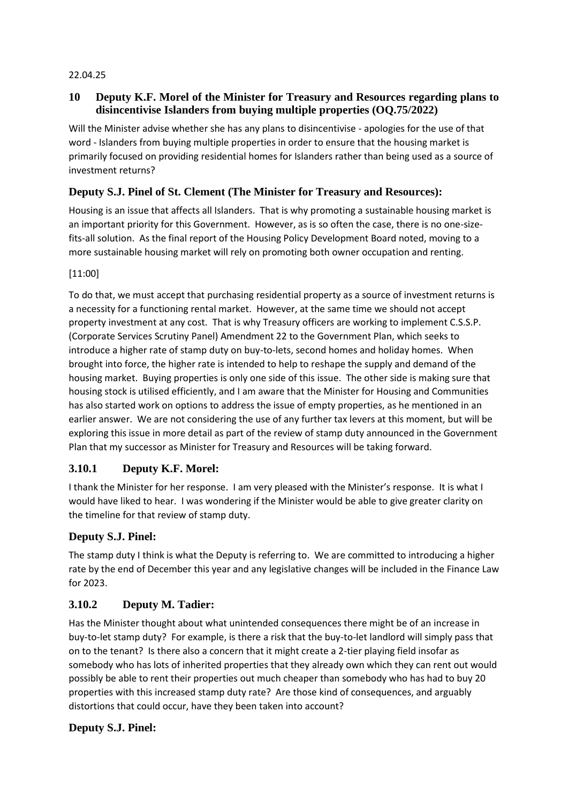#### 22.04.25

### **10 Deputy K.F. Morel of the Minister for Treasury and Resources regarding plans to disincentivise Islanders from buying multiple properties (OQ.75/2022)**

Will the Minister advise whether she has any plans to disincentivise - apologies for the use of that word - Islanders from buying multiple properties in order to ensure that the housing market is primarily focused on providing residential homes for Islanders rather than being used as a source of investment returns?

## **Deputy S.J. Pinel of St. Clement (The Minister for Treasury and Resources):**

Housing is an issue that affects all Islanders. That is why promoting a sustainable housing market is an important priority for this Government. However, as is so often the case, there is no one-sizefits-all solution. As the final report of the Housing Policy Development Board noted, moving to a more sustainable housing market will rely on promoting both owner occupation and renting.

#### [11:00]

To do that, we must accept that purchasing residential property as a source of investment returns is a necessity for a functioning rental market. However, at the same time we should not accept property investment at any cost. That is why Treasury officers are working to implement C.S.S.P. (Corporate Services Scrutiny Panel) Amendment 22 to the Government Plan, which seeks to introduce a higher rate of stamp duty on buy-to-lets, second homes and holiday homes. When brought into force, the higher rate is intended to help to reshape the supply and demand of the housing market. Buying properties is only one side of this issue. The other side is making sure that housing stock is utilised efficiently, and I am aware that the Minister for Housing and Communities has also started work on options to address the issue of empty properties, as he mentioned in an earlier answer. We are not considering the use of any further tax levers at this moment, but will be exploring this issue in more detail as part of the review of stamp duty announced in the Government Plan that my successor as Minister for Treasury and Resources will be taking forward.

# **3.10.1 Deputy K.F. Morel:**

I thank the Minister for her response. I am very pleased with the Minister's response. It is what I would have liked to hear. I was wondering if the Minister would be able to give greater clarity on the timeline for that review of stamp duty.

#### **Deputy S.J. Pinel:**

The stamp duty I think is what the Deputy is referring to. We are committed to introducing a higher rate by the end of December this year and any legislative changes will be included in the Finance Law for 2023.

# **3.10.2 Deputy M. Tadier:**

Has the Minister thought about what unintended consequences there might be of an increase in buy-to-let stamp duty? For example, is there a risk that the buy-to-let landlord will simply pass that on to the tenant? Is there also a concern that it might create a 2-tier playing field insofar as somebody who has lots of inherited properties that they already own which they can rent out would possibly be able to rent their properties out much cheaper than somebody who has had to buy 20 properties with this increased stamp duty rate? Are those kind of consequences, and arguably distortions that could occur, have they been taken into account?

#### **Deputy S.J. Pinel:**